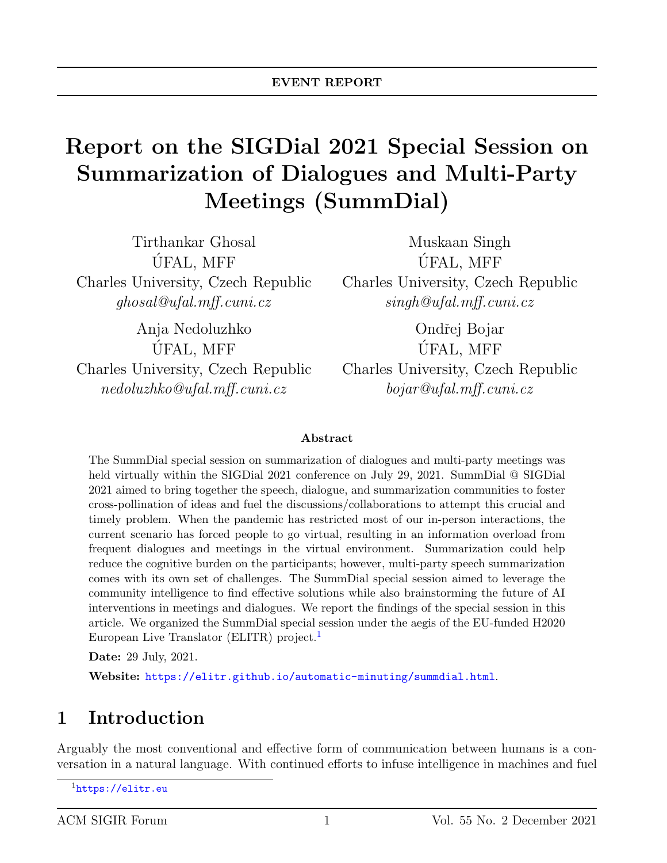# Report on the SIGDial 2021 Special Session on Summarization of Dialogues and Multi-Party Meetings (SummDial)

Tirthankar Ghosal UFAL, MFF ´ Charles University, Czech Republic ghosal@ufal.mff.cuni.cz

Anja Nedoluzhko UFAL, MFF ´ Charles University, Czech Republic nedoluzhko@ufal.mff.cuni.cz

Muskaan Singh UFAL, MFF ´ Charles University, Czech Republic singh@ufal.mff.cuni.cz

Ondřej Bojar UFAL, MFF ´ Charles University, Czech Republic bojar@ufal.mff.cuni.cz

#### Abstract

The SummDial special session on summarization of dialogues and multi-party meetings was held virtually within the SIGDial 2021 conference on July 29, 2021. SummDial @ SIGDial 2021 aimed to bring together the speech, dialogue, and summarization communities to foster cross-pollination of ideas and fuel the discussions/collaborations to attempt this crucial and timely problem. When the pandemic has restricted most of our in-person interactions, the current scenario has forced people to go virtual, resulting in an information overload from frequent dialogues and meetings in the virtual environment. Summarization could help reduce the cognitive burden on the participants; however, multi-party speech summarization comes with its own set of challenges. The SummDial special session aimed to leverage the community intelligence to find effective solutions while also brainstorming the future of AI interventions in meetings and dialogues. We report the findings of the special session in this article. We organized the SummDial special session under the aegis of the EU-funded H2020 European Live Translator (ELITR) project.<sup>[1](#page-0-0)</sup>

Date: 29 July, 2021.

Website: <https://elitr.github.io/automatic-minuting/summdial.html>.

### 1 Introduction

Arguably the most conventional and effective form of communication between humans is a conversation in a natural language. With continued efforts to infuse intelligence in machines and fuel

<span id="page-0-0"></span><sup>1</sup><https://elitr.eu>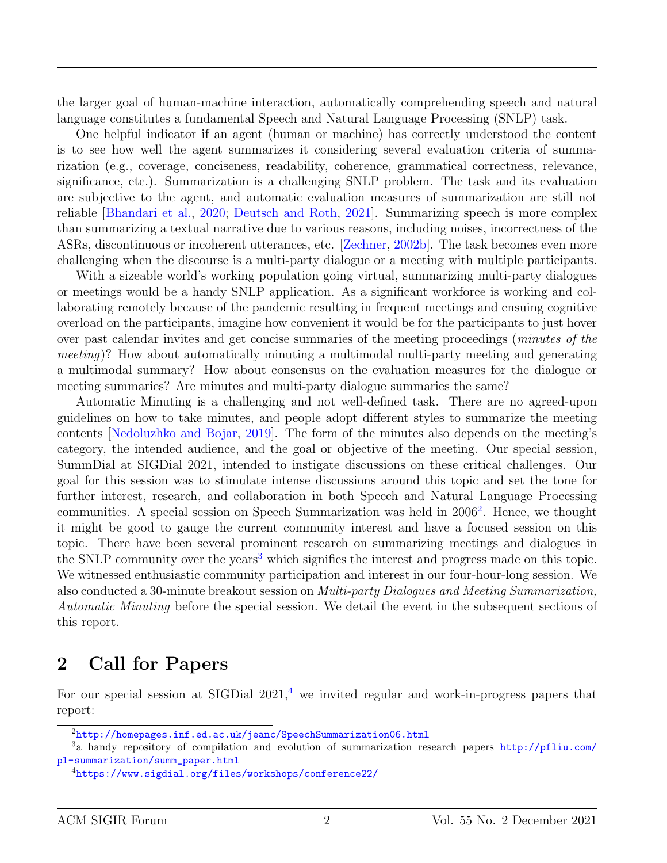the larger goal of human-machine interaction, automatically comprehending speech and natural language constitutes a fundamental Speech and Natural Language Processing (SNLP) task.

One helpful indicator if an agent (human or machine) has correctly understood the content is to see how well the agent summarizes it considering several evaluation criteria of summarization (e.g., coverage, conciseness, readability, coherence, grammatical correctness, relevance, significance, etc.). Summarization is a challenging SNLP problem. The task and its evaluation are subjective to the agent, and automatic evaluation measures of summarization are still not reliable [\[Bhandari et al.,](#page-12-0) [2020;](#page-12-0) [Deutsch and Roth,](#page-14-0) [2021\]](#page-14-0). Summarizing speech is more complex than summarizing a textual narrative due to various reasons, including noises, incorrectness of the ASRs, discontinuous or incoherent utterances, etc. [\[Zechner,](#page-16-0) [2002b\]](#page-16-0). The task becomes even more challenging when the discourse is a multi-party dialogue or a meeting with multiple participants.

With a sizeable world's working population going virtual, summarizing multi-party dialogues or meetings would be a handy SNLP application. As a significant workforce is working and collaborating remotely because of the pandemic resulting in frequent meetings and ensuing cognitive overload on the participants, imagine how convenient it would be for the participants to just hover over past calendar invites and get concise summaries of the meeting proceedings (minutes of the meeting)? How about automatically minuting a multimodal multi-party meeting and generating a multimodal summary? How about consensus on the evaluation measures for the dialogue or meeting summaries? Are minutes and multi-party dialogue summaries the same?

Automatic Minuting is a challenging and not well-defined task. There are no agreed-upon guidelines on how to take minutes, and people adopt different styles to summarize the meeting contents [\[Nedoluzhko and Bojar,](#page-15-0) [2019\]](#page-15-0). The form of the minutes also depends on the meeting's category, the intended audience, and the goal or objective of the meeting. Our special session, SummDial at SIGDial 2021, intended to instigate discussions on these critical challenges. Our goal for this session was to stimulate intense discussions around this topic and set the tone for further interest, research, and collaboration in both Speech and Natural Language Processing communities. A special session on Speech Summarization was held in [2](#page-1-0)006<sup>2</sup>. Hence, we thought it might be good to gauge the current community interest and have a focused session on this topic. There have been several prominent research on summarizing meetings and dialogues in the SNLP community over the years<sup>[3](#page-1-1)</sup> which signifies the interest and progress made on this topic. We witnessed enthusiastic community participation and interest in our four-hour-long session. We also conducted a 30-minute breakout session on Multi-party Dialogues and Meeting Summarization, Automatic Minuting before the special session. We detail the event in the subsequent sections of this report.

#### 2 Call for Papers

For our special session at SIGDial  $2021<sup>4</sup>$  $2021<sup>4</sup>$  $2021<sup>4</sup>$  we invited regular and work-in-progress papers that report:

<span id="page-1-1"></span><span id="page-1-0"></span><sup>2</sup><http://homepages.inf.ed.ac.uk/jeanc/SpeechSummarization06.html>

<sup>3</sup>a handy repository of compilation and evolution of summarization research papers [http://pfliu.com/](http://pfliu.com/pl-summarization/summ_paper.html) [pl-summarization/summ\\_paper.html](http://pfliu.com/pl-summarization/summ_paper.html)

<span id="page-1-2"></span><sup>4</sup><https://www.sigdial.org/files/workshops/conference22/>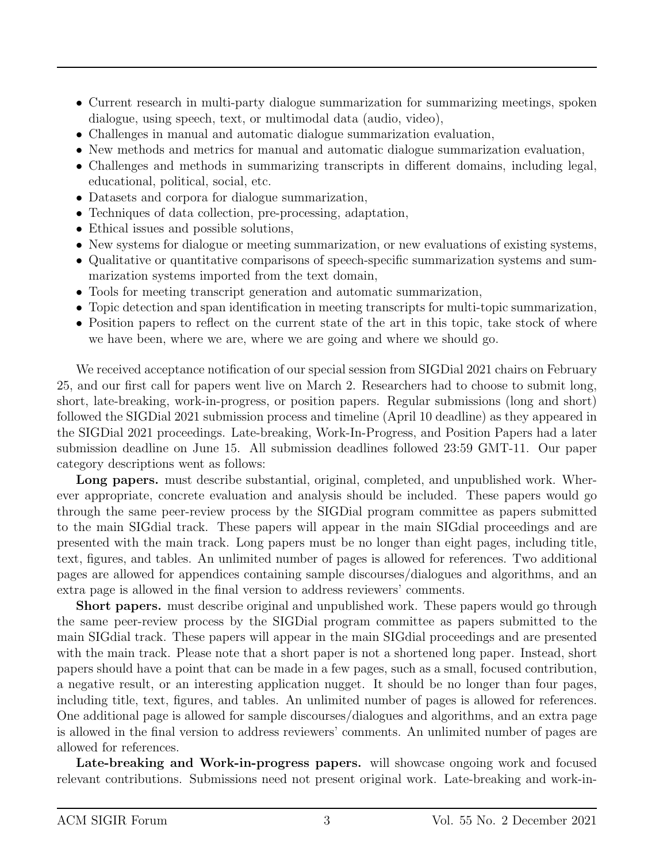- Current research in multi-party dialogue summarization for summarizing meetings, spoken dialogue, using speech, text, or multimodal data (audio, video),
- Challenges in manual and automatic dialogue summarization evaluation,
- New methods and metrics for manual and automatic dialogue summarization evaluation,
- Challenges and methods in summarizing transcripts in different domains, including legal, educational, political, social, etc.
- Datasets and corpora for dialogue summarization,
- Techniques of data collection, pre-processing, adaptation,
- Ethical issues and possible solutions,
- New systems for dialogue or meeting summarization, or new evaluations of existing systems,
- Qualitative or quantitative comparisons of speech-specific summarization systems and summarization systems imported from the text domain,
- Tools for meeting transcript generation and automatic summarization,
- Topic detection and span identification in meeting transcripts for multi-topic summarization,
- Position papers to reflect on the current state of the art in this topic, take stock of where we have been, where we are, where we are going and where we should go.

We received acceptance notification of our special session from SIGDial 2021 chairs on February 25, and our first call for papers went live on March 2. Researchers had to choose to submit long, short, late-breaking, work-in-progress, or position papers. Regular submissions (long and short) followed the SIGDial 2021 submission process and timeline (April 10 deadline) as they appeared in the SIGDial 2021 proceedings. Late-breaking, Work-In-Progress, and Position Papers had a later submission deadline on June 15. All submission deadlines followed 23:59 GMT-11. Our paper category descriptions went as follows:

Long papers. must describe substantial, original, completed, and unpublished work. Wherever appropriate, concrete evaluation and analysis should be included. These papers would go through the same peer-review process by the SIGDial program committee as papers submitted to the main SIGdial track. These papers will appear in the main SIGdial proceedings and are presented with the main track. Long papers must be no longer than eight pages, including title, text, figures, and tables. An unlimited number of pages is allowed for references. Two additional pages are allowed for appendices containing sample discourses/dialogues and algorithms, and an extra page is allowed in the final version to address reviewers' comments.

Short papers. must describe original and unpublished work. These papers would go through the same peer-review process by the SIGDial program committee as papers submitted to the main SIGdial track. These papers will appear in the main SIGdial proceedings and are presented with the main track. Please note that a short paper is not a shortened long paper. Instead, short papers should have a point that can be made in a few pages, such as a small, focused contribution, a negative result, or an interesting application nugget. It should be no longer than four pages, including title, text, figures, and tables. An unlimited number of pages is allowed for references. One additional page is allowed for sample discourses/dialogues and algorithms, and an extra page is allowed in the final version to address reviewers' comments. An unlimited number of pages are allowed for references.

Late-breaking and Work-in-progress papers. will showcase ongoing work and focused relevant contributions. Submissions need not present original work. Late-breaking and work-in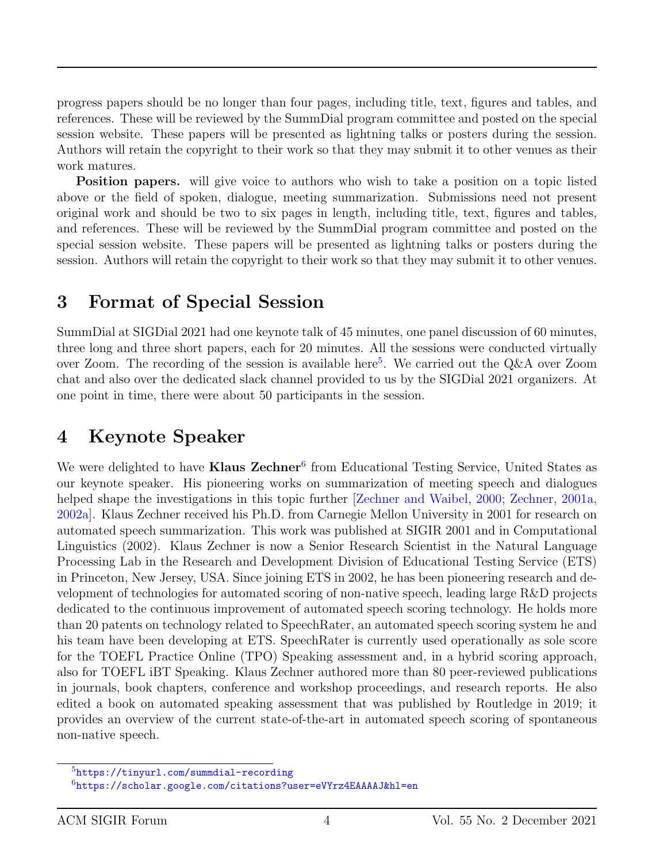progress papers should be no longer than four pages, including title, text, figures and tables, and references. These will be reviewed by the SummDial program committee and posted on the special session website. These papers will be presented as lightning talks or posters during the session. Authors will retain the copyright to their work so that they may submit it to other venues as their work matures.

Position papers. will give voice to authors who wish to take a position on a topic listed above or the field of spoken, dialogue, meeting summarization. Submissions need not present original work and should be two to six pages in length, including title, text, figures and tables, and references. These will be reviewed by the SummDial program committee and posted on the special session website. These papers will be presented as lightning talks or posters during the session. Authors will retain the copyright to their work so that they may submit it to other venues.

#### 3 Format of Special Session

SummDial at SIGDial 2021 had one keynote talk of 45 minutes, one panel discussion of 60 minutes, three long and three short papers, each for 20 minutes. All the sessions were conducted virtually over Zoom. The recording of the session is available here<sup>[5](#page-3-0)</sup>. We carried out the Q&A over Zoom chat and also over the dedicated slack channel provided to us by the SIGDial 2021 organizers. At one point in time, there were about 50 participants in the session.

## 4 Keynote Speaker

We were delighted to have Klaus Zechner<sup>[6](#page-3-1)</sup> from Educational Testing Service, United States as our keynote speaker. His pioneering works on summarization of meeting speech and dialogues helped shape the investigations in this topic further [\[Zechner and Waibel,](#page-16-1) [2000;](#page-16-1) [Zechner,](#page-15-1) [2001a,](#page-15-1) [2002a\]](#page-16-2). Klaus Zechner received his Ph.D. from Carnegie Mellon University in 2001 for research on automated speech summarization. This work was published at SIGIR 2001 and in Computational Linguistics (2002). Klaus Zechner is now a Senior Research Scientist in the Natural Language Processing Lab in the Research and Development Division of Educational Testing Service (ETS) in Princeton, New Jersey, USA. Since joining ETS in 2002, he has been pioneering research and development of technologies for automated scoring of non-native speech, leading large R&D projects dedicated to the continuous improvement of automated speech scoring technology. He holds more than 20 patents on technology related to SpeechRater, an automated speech scoring system he and his team have been developing at ETS. SpeechRater is currently used operationally as sole score for the TOEFL Practice Online (TPO) Speaking assessment and, in a hybrid scoring approach, also for TOEFL iBT Speaking. Klaus Zechner authored more than 80 peer-reviewed publications in journals, book chapters, conference and workshop proceedings, and research reports. He also edited a book on automated speaking assessment that was published by Routledge in 2019; it provides an overview of the current state-of-the-art in automated speech scoring of spontaneous non-native speech.

<span id="page-3-0"></span><sup>5</sup><https://tinyurl.com/summdial-recording>

<span id="page-3-1"></span><sup>6</sup><https://scholar.google.com/citations?user=eVYrz4EAAAAJ&hl=en>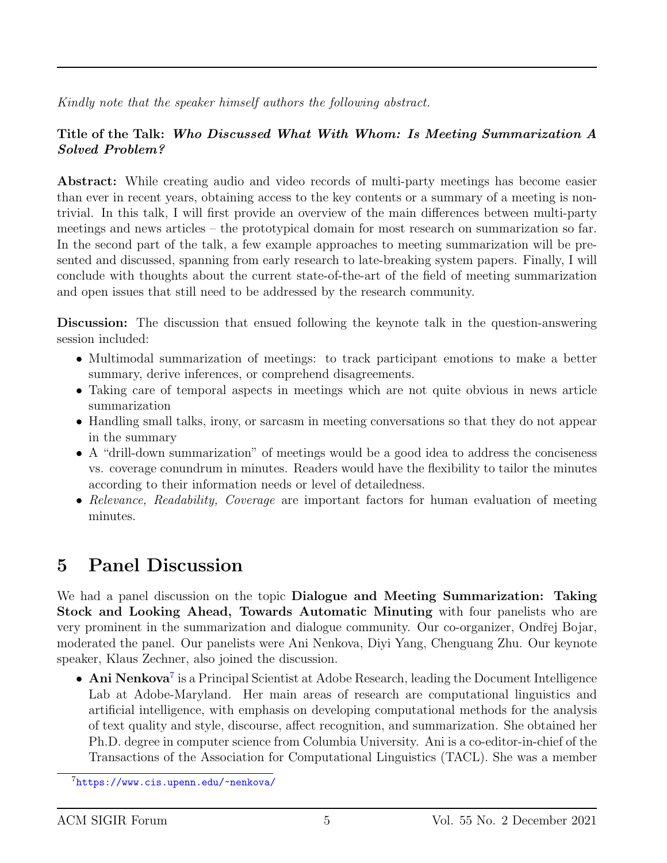Kindly note that the speaker himself authors the following abstract.

#### Title of the Talk: Who Discussed What With Whom: Is Meeting Summarization A Solved Problem?

Abstract: While creating audio and video records of multi-party meetings has become easier than ever in recent years, obtaining access to the key contents or a summary of a meeting is nontrivial. In this talk, I will first provide an overview of the main differences between multi-party meetings and news articles – the prototypical domain for most research on summarization so far. In the second part of the talk, a few example approaches to meeting summarization will be presented and discussed, spanning from early research to late-breaking system papers. Finally, I will conclude with thoughts about the current state-of-the-art of the field of meeting summarization and open issues that still need to be addressed by the research community.

Discussion: The discussion that ensued following the keynote talk in the question-answering session included:

- Multimodal summarization of meetings: to track participant emotions to make a better summary, derive inferences, or comprehend disagreements.
- Taking care of temporal aspects in meetings which are not quite obvious in news article summarization
- Handling small talks, irony, or sarcasm in meeting conversations so that they do not appear in the summary
- A "drill-down summarization" of meetings would be a good idea to address the conciseness vs. coverage conundrum in minutes. Readers would have the flexibility to tailor the minutes according to their information needs or level of detailedness.
- Relevance, Readability, Coverage are important factors for human evaluation of meeting minutes.

## 5 Panel Discussion

We had a panel discussion on the topic **Dialogue and Meeting Summarization: Taking** Stock and Looking Ahead, Towards Automatic Minuting with four panelists who are very prominent in the summarization and dialogue community. Our co-organizer, Ondřej Bojar, moderated the panel. Our panelists were Ani Nenkova, Diyi Yang, Chenguang Zhu. Our keynote speaker, Klaus Zechner, also joined the discussion.

• Ani Nenkova<sup>[7](#page-4-0)</sup> is a Principal Scientist at Adobe Research, leading the Document Intelligence Lab at Adobe-Maryland. Her main areas of research are computational linguistics and artificial intelligence, with emphasis on developing computational methods for the analysis of text quality and style, discourse, affect recognition, and summarization. She obtained her Ph.D. degree in computer science from Columbia University. Ani is a co-editor-in-chief of the Transactions of the Association for Computational Linguistics (TACL). She was a member

<span id="page-4-0"></span> $7$ <https://www.cis.upenn.edu/~nenkova/>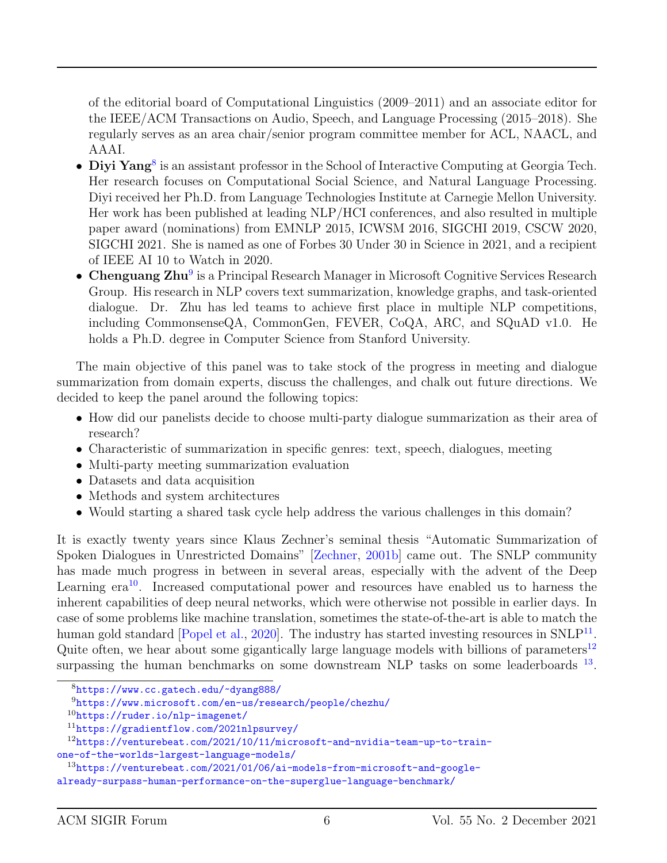of the editorial board of Computational Linguistics (2009–2011) and an associate editor for the IEEE/ACM Transactions on Audio, Speech, and Language Processing (2015–2018). She regularly serves as an area chair/senior program committee member for ACL, NAACL, and AAAI.

- Diyi Yang<sup>[8](#page-5-0)</sup> is an assistant professor in the School of Interactive Computing at Georgia Tech. Her research focuses on Computational Social Science, and Natural Language Processing. Diyi received her Ph.D. from Language Technologies Institute at Carnegie Mellon University. Her work has been published at leading NLP/HCI conferences, and also resulted in multiple paper award (nominations) from EMNLP 2015, ICWSM 2016, SIGCHI 2019, CSCW 2020, SIGCHI 2021. She is named as one of Forbes 30 Under 30 in Science in 2021, and a recipient of IEEE AI 10 to Watch in 2020.
- Chenguang Zhu<sup>[9](#page-5-1)</sup> is a Principal Research Manager in Microsoft Cognitive Services Research Group. His research in NLP covers text summarization, knowledge graphs, and task-oriented dialogue. Dr. Zhu has led teams to achieve first place in multiple NLP competitions, including CommonsenseQA, CommonGen, FEVER, CoQA, ARC, and SQuAD v1.0. He holds a Ph.D. degree in Computer Science from Stanford University.

The main objective of this panel was to take stock of the progress in meeting and dialogue summarization from domain experts, discuss the challenges, and chalk out future directions. We decided to keep the panel around the following topics:

- How did our panelists decide to choose multi-party dialogue summarization as their area of research?
- Characteristic of summarization in specific genres: text, speech, dialogues, meeting
- Multi-party meeting summarization evaluation
- Datasets and data acquisition
- Methods and system architectures
- Would starting a shared task cycle help address the various challenges in this domain?

It is exactly twenty years since Klaus Zechner's seminal thesis "Automatic Summarization of Spoken Dialogues in Unrestricted Domains" [\[Zechner,](#page-16-3) [2001b\]](#page-16-3) came out. The SNLP community has made much progress in between in several areas, especially with the advent of the Deep Learning  $era^{10}$  $era^{10}$  $era^{10}$ . Increased computational power and resources have enabled us to harness the inherent capabilities of deep neural networks, which were otherwise not possible in earlier days. In case of some problems like machine translation, sometimes the state-of-the-art is able to match the human gold standard [\[Popel et al.,](#page-15-2) [2020\]](#page-15-2). The industry has started investing resources in  $\text{SNLP}^{11}$  $\text{SNLP}^{11}$  $\text{SNLP}^{11}$ . Quite often, we hear about some gigantically large language models with billions of parameters<sup>[12](#page-5-4)</sup> surpassing the human benchmarks on some downstream NLP tasks on some leaderboards  $^{13}$  $^{13}$  $^{13}$ .

<span id="page-5-0"></span><sup>8</sup><https://www.cc.gatech.edu/~dyang888/>

<span id="page-5-1"></span><sup>9</sup><https://www.microsoft.com/en-us/research/people/chezhu/>

<span id="page-5-2"></span><sup>10</sup><https://ruder.io/nlp-imagenet/>

<span id="page-5-4"></span><span id="page-5-3"></span><sup>11</sup><https://gradientflow.com/2021nlpsurvey/>

<sup>12</sup>[https://venturebeat.com/2021/10/11/microsoft-and-nvidia-team-up-to-train](https://venturebeat.com/2021/10/11/microsoft-and-nvidia-team-up-to-train-one-of-the-worlds-largest-language-models/)[one-of-the-worlds-largest-language-models/](https://venturebeat.com/2021/10/11/microsoft-and-nvidia-team-up-to-train-one-of-the-worlds-largest-language-models/)

<span id="page-5-5"></span><sup>13</sup>[https://venturebeat.com/2021/01/06/ai-models-from-microsoft-and-google-](https://venturebeat.com/2021/01/06/ai-models-from-microsoft-and-google-already-surpass-human-performance-on-the-superglue-language-benchmark/)

[already-surpass-human-performance-on-the-superglue-language-benchmark/](https://venturebeat.com/2021/01/06/ai-models-from-microsoft-and-google-already-surpass-human-performance-on-the-superglue-language-benchmark/)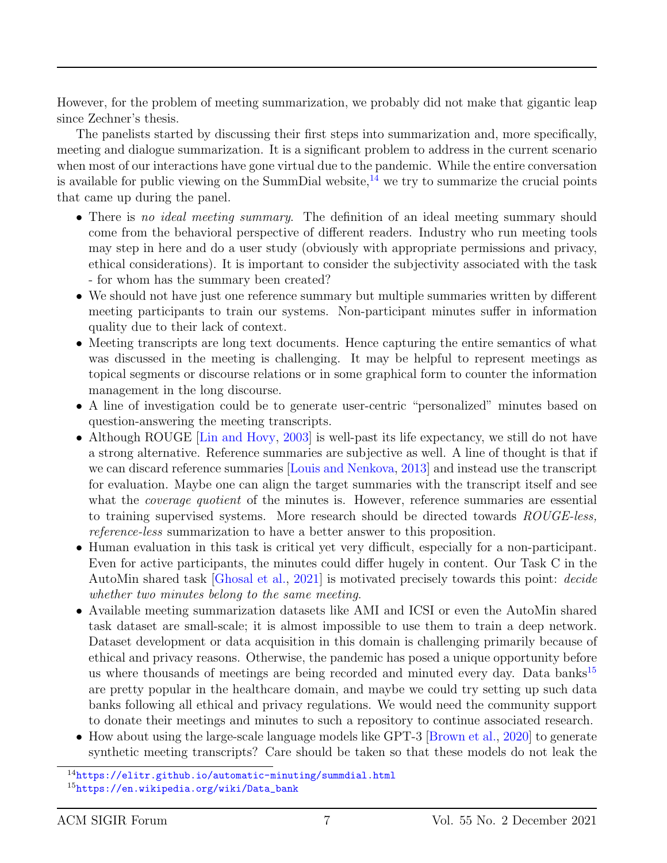However, for the problem of meeting summarization, we probably did not make that gigantic leap since Zechner's thesis.

The panelists started by discussing their first steps into summarization and, more specifically, meeting and dialogue summarization. It is a significant problem to address in the current scenario when most of our interactions have gone virtual due to the pandemic. While the entire conversation is available for public viewing on the SummDial website, $^{14}$  $^{14}$  $^{14}$  we try to summarize the crucial points that came up during the panel.

- There is no ideal meeting summary. The definition of an ideal meeting summary should come from the behavioral perspective of different readers. Industry who run meeting tools may step in here and do a user study (obviously with appropriate permissions and privacy, ethical considerations). It is important to consider the subjectivity associated with the task - for whom has the summary been created?
- We should not have just one reference summary but multiple summaries written by different meeting participants to train our systems. Non-participant minutes suffer in information quality due to their lack of context.
- Meeting transcripts are long text documents. Hence capturing the entire semantics of what was discussed in the meeting is challenging. It may be helpful to represent meetings as topical segments or discourse relations or in some graphical form to counter the information management in the long discourse.
- A line of investigation could be to generate user-centric "personalized" minutes based on question-answering the meeting transcripts.
- Although ROUGE [\[Lin and Hovy,](#page-14-1) [2003\]](#page-14-1) is well-past its life expectancy, we still do not have a strong alternative. Reference summaries are subjective as well. A line of thought is that if we can discard reference summaries [\[Louis and Nenkova,](#page-15-3) [2013\]](#page-15-3) and instead use the transcript for evaluation. Maybe one can align the target summaries with the transcript itself and see what the *coverage quotient* of the minutes is. However, reference summaries are essential to training supervised systems. More research should be directed towards ROUGE-less, reference-less summarization to have a better answer to this proposition.
- Human evaluation in this task is critical yet very difficult, especially for a non-participant. Even for active participants, the minutes could differ hugely in content. Our Task C in the AutoMin shared task [\[Ghosal et al.,](#page-14-2) [2021\]](#page-14-2) is motivated precisely towards this point: decide whether two minutes belong to the same meeting.
- Available meeting summarization datasets like AMI and ICSI or even the AutoMin shared task dataset are small-scale; it is almost impossible to use them to train a deep network. Dataset development or data acquisition in this domain is challenging primarily because of ethical and privacy reasons. Otherwise, the pandemic has posed a unique opportunity before us where thousands of meetings are being recorded and minuted every day. Data banks<sup>[15](#page-6-1)</sup> are pretty popular in the healthcare domain, and maybe we could try setting up such data banks following all ethical and privacy regulations. We would need the community support to donate their meetings and minutes to such a repository to continue associated research.
- How about using the large-scale language models like GPT-3 [\[Brown et al.,](#page-13-0) [2020\]](#page-13-0) to generate synthetic meeting transcripts? Care should be taken so that these models do not leak the

<span id="page-6-1"></span><span id="page-6-0"></span><sup>14</sup><https://elitr.github.io/automatic-minuting/summdial.html> <sup>15</sup>[https://en.wikipedia.org/wiki/Data\\_bank](https://en.wikipedia.org/wiki/Data_bank)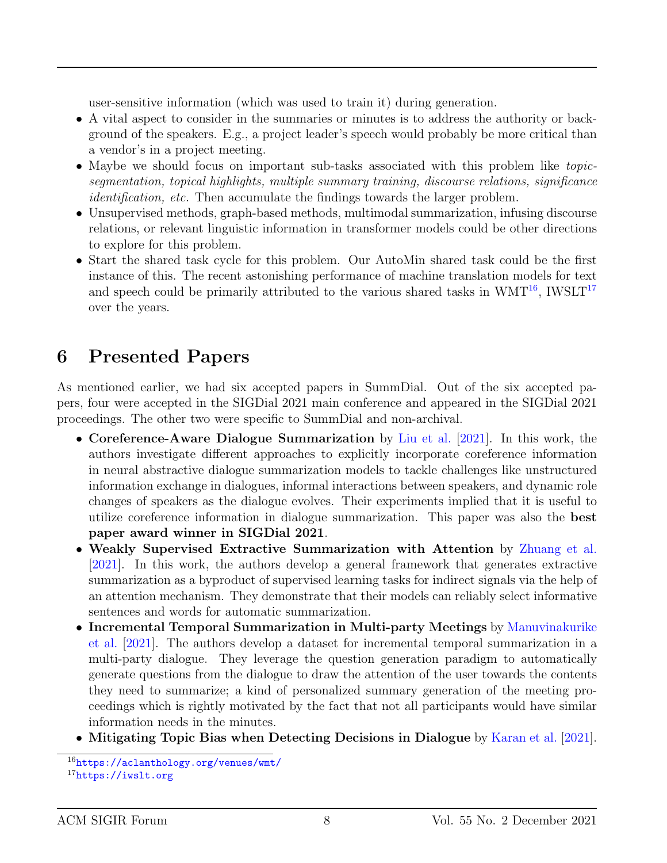user-sensitive information (which was used to train it) during generation.

- A vital aspect to consider in the summaries or minutes is to address the authority or background of the speakers. E.g., a project leader's speech would probably be more critical than a vendor's in a project meeting.
- Maybe we should focus on important sub-tasks associated with this problem like topicsegmentation, topical highlights, multiple summary training, discourse relations, significance identification, etc. Then accumulate the findings towards the larger problem.
- Unsupervised methods, graph-based methods, multimodal summarization, infusing discourse relations, or relevant linguistic information in transformer models could be other directions to explore for this problem.
- Start the shared task cycle for this problem. Our AutoMin shared task could be the first instance of this. The recent astonishing performance of machine translation models for text and speech could be primarily attributed to the various shared tasks in  $WMT^{16}$  $WMT^{16}$  $WMT^{16}$ , IWSLT<sup>[17](#page-7-1)</sup> over the years.

## 6 Presented Papers

As mentioned earlier, we had six accepted papers in SummDial. Out of the six accepted papers, four were accepted in the SIGDial 2021 main conference and appeared in the SIGDial 2021 proceedings. The other two were specific to SummDial and non-archival.

- Coreference-Aware Dialogue Summarization by [Liu et al.](#page-15-4) [\[2021\]](#page-15-4). In this work, the authors investigate different approaches to explicitly incorporate coreference information in neural abstractive dialogue summarization models to tackle challenges like unstructured information exchange in dialogues, informal interactions between speakers, and dynamic role changes of speakers as the dialogue evolves. Their experiments implied that it is useful to utilize coreference information in dialogue summarization. This paper was also the best paper award winner in SIGDial 2021.
- Weakly Supervised Extractive Summarization with Attention by [Zhuang et al.](#page-16-4) [\[2021\]](#page-16-4). In this work, the authors develop a general framework that generates extractive summarization as a byproduct of supervised learning tasks for indirect signals via the help of an attention mechanism. They demonstrate that their models can reliably select informative sentences and words for automatic summarization.
- Incremental Temporal Summarization in Multi-party Meetings by [Manuvinakurike](#page-15-5) [et al.](#page-15-5) [\[2021\]](#page-15-5). The authors develop a dataset for incremental temporal summarization in a multi-party dialogue. They leverage the question generation paradigm to automatically generate questions from the dialogue to draw the attention of the user towards the contents they need to summarize; a kind of personalized summary generation of the meeting proceedings which is rightly motivated by the fact that not all participants would have similar information needs in the minutes.
- Mitigating Topic Bias when Detecting Decisions in Dialogue by [Karan et al.](#page-14-3) [\[2021\]](#page-14-3).

<span id="page-7-1"></span><span id="page-7-0"></span><sup>16</sup><https://aclanthology.org/venues/wmt/> <sup>17</sup><https://iwslt.org>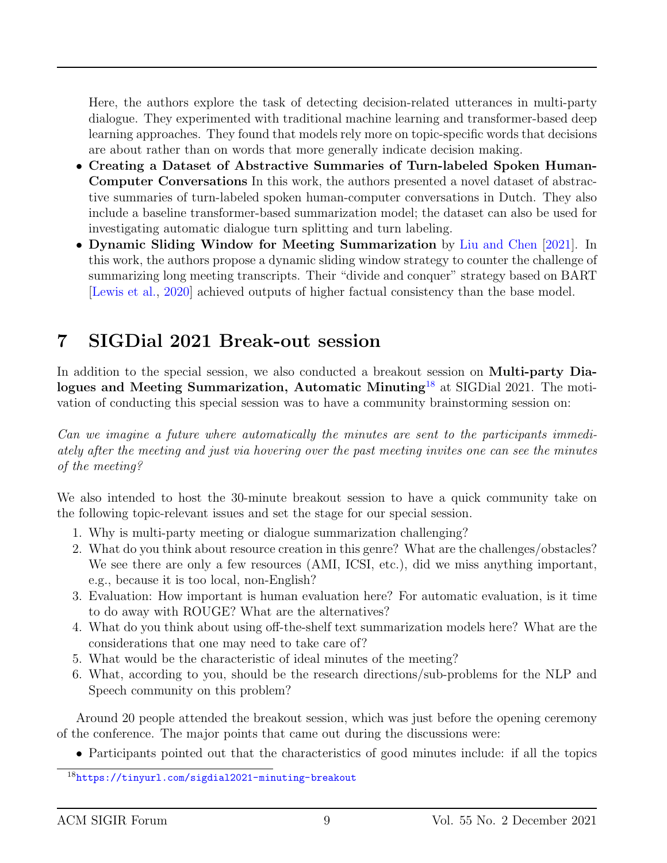Here, the authors explore the task of detecting decision-related utterances in multi-party dialogue. They experimented with traditional machine learning and transformer-based deep learning approaches. They found that models rely more on topic-specific words that decisions are about rather than on words that more generally indicate decision making.

- Creating a Dataset of Abstractive Summaries of Turn-labeled Spoken Human-Computer Conversations In this work, the authors presented a novel dataset of abstractive summaries of turn-labeled spoken human-computer conversations in Dutch. They also include a baseline transformer-based summarization model; the dataset can also be used for investigating automatic dialogue turn splitting and turn labeling.
- Dynamic Sliding Window for Meeting Summarization by [Liu and Chen](#page-14-4) [\[2021\]](#page-14-4). In this work, the authors propose a dynamic sliding window strategy to counter the challenge of summarizing long meeting transcripts. Their "divide and conquer" strategy based on BART [\[Lewis et al.,](#page-14-5) [2020\]](#page-14-5) achieved outputs of higher factual consistency than the base model.

### 7 SIGDial 2021 Break-out session

In addition to the special session, we also conducted a breakout session on Multi-party Dia-logues and Meeting Summarization, Automatic Minuting<sup>[18](#page-8-0)</sup> at SIGDial 2021. The motivation of conducting this special session was to have a community brainstorming session on:

Can we imagine a future where automatically the minutes are sent to the participants immediately after the meeting and just via hovering over the past meeting invites one can see the minutes of the meeting?

We also intended to host the 30-minute breakout session to have a quick community take on the following topic-relevant issues and set the stage for our special session.

- 1. Why is multi-party meeting or dialogue summarization challenging?
- 2. What do you think about resource creation in this genre? What are the challenges/obstacles? We see there are only a few resources (AMI, ICSI, etc.), did we miss anything important, e.g., because it is too local, non-English?
- 3. Evaluation: How important is human evaluation here? For automatic evaluation, is it time to do away with ROUGE? What are the alternatives?
- 4. What do you think about using off-the-shelf text summarization models here? What are the considerations that one may need to take care of?
- 5. What would be the characteristic of ideal minutes of the meeting?
- 6. What, according to you, should be the research directions/sub-problems for the NLP and Speech community on this problem?

Around 20 people attended the breakout session, which was just before the opening ceremony of the conference. The major points that came out during the discussions were:

• Participants pointed out that the characteristics of good minutes include: if all the topics

<span id="page-8-0"></span><sup>18</sup><https://tinyurl.com/sigdial2021-minuting-breakout>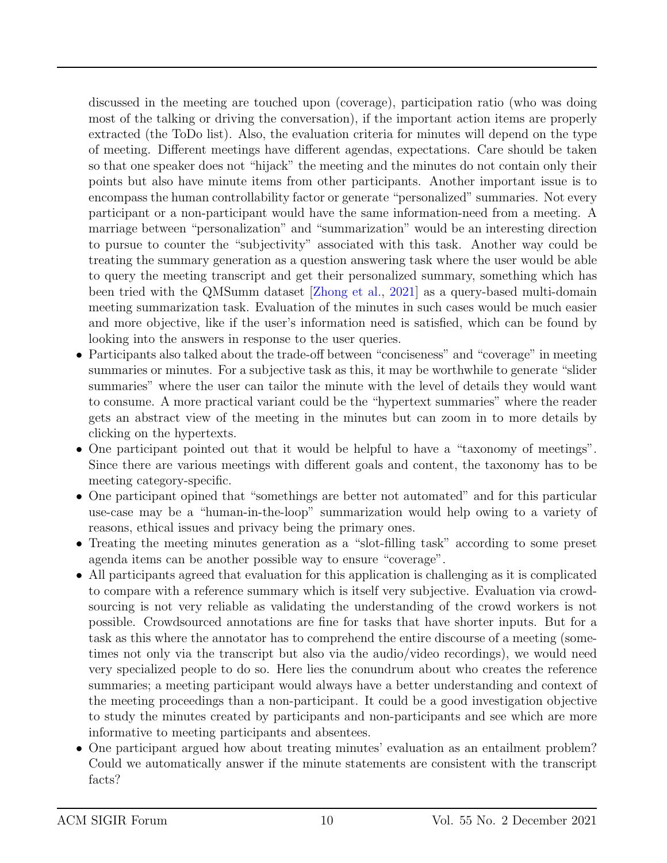discussed in the meeting are touched upon (coverage), participation ratio (who was doing most of the talking or driving the conversation), if the important action items are properly extracted (the ToDo list). Also, the evaluation criteria for minutes will depend on the type of meeting. Different meetings have different agendas, expectations. Care should be taken so that one speaker does not "hijack" the meeting and the minutes do not contain only their points but also have minute items from other participants. Another important issue is to encompass the human controllability factor or generate "personalized" summaries. Not every participant or a non-participant would have the same information-need from a meeting. A marriage between "personalization" and "summarization" would be an interesting direction to pursue to counter the "subjectivity" associated with this task. Another way could be treating the summary generation as a question answering task where the user would be able to query the meeting transcript and get their personalized summary, something which has been tried with the QMSumm dataset [\[Zhong et al.,](#page-16-5) [2021\]](#page-16-5) as a query-based multi-domain meeting summarization task. Evaluation of the minutes in such cases would be much easier and more objective, like if the user's information need is satisfied, which can be found by looking into the answers in response to the user queries.

- Participants also talked about the trade-off between "conciseness" and "coverage" in meeting summaries or minutes. For a subjective task as this, it may be worthwhile to generate "slider summaries" where the user can tailor the minute with the level of details they would want to consume. A more practical variant could be the "hypertext summaries" where the reader gets an abstract view of the meeting in the minutes but can zoom in to more details by clicking on the hypertexts.
- One participant pointed out that it would be helpful to have a "taxonomy of meetings". Since there are various meetings with different goals and content, the taxonomy has to be meeting category-specific.
- One participant opined that "somethings are better not automated" and for this particular use-case may be a "human-in-the-loop" summarization would help owing to a variety of reasons, ethical issues and privacy being the primary ones.
- Treating the meeting minutes generation as a "slot-filling task" according to some preset agenda items can be another possible way to ensure "coverage".
- All participants agreed that evaluation for this application is challenging as it is complicated to compare with a reference summary which is itself very subjective. Evaluation via crowdsourcing is not very reliable as validating the understanding of the crowd workers is not possible. Crowdsourced annotations are fine for tasks that have shorter inputs. But for a task as this where the annotator has to comprehend the entire discourse of a meeting (sometimes not only via the transcript but also via the audio/video recordings), we would need very specialized people to do so. Here lies the conundrum about who creates the reference summaries; a meeting participant would always have a better understanding and context of the meeting proceedings than a non-participant. It could be a good investigation objective to study the minutes created by participants and non-participants and see which are more informative to meeting participants and absentees.
- One participant argued how about treating minutes' evaluation as an entailment problem? Could we automatically answer if the minute statements are consistent with the transcript facts?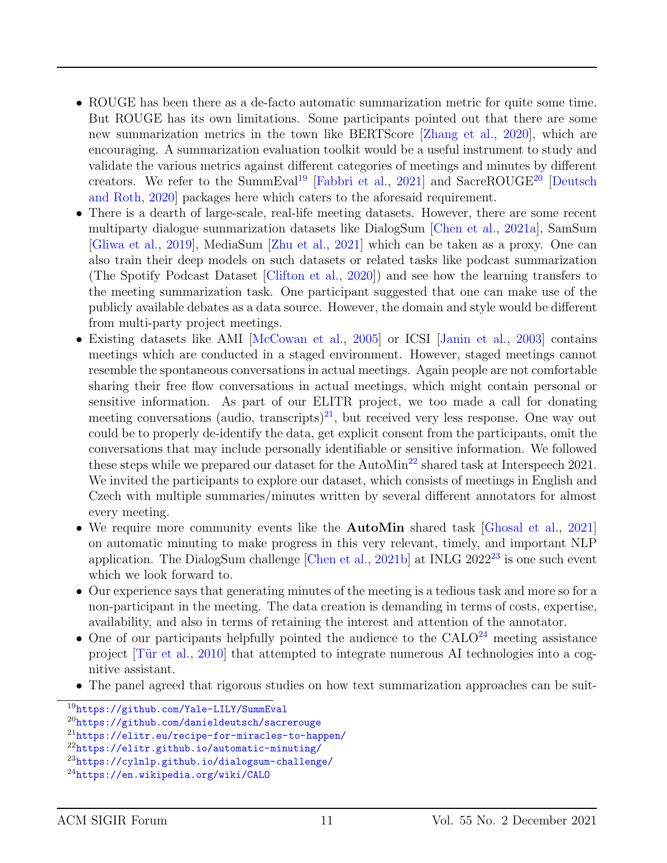- ROUGE has been there as a de-facto automatic summarization metric for quite some time. But ROUGE has its own limitations. Some participants pointed out that there are some new summarization metrics in the town like BERTScore [\[Zhang et al.,](#page-16-6) [2020\]](#page-16-6), which are encouraging. A summarization evaluation toolkit would be a useful instrument to study and validate the various metrics against different categories of meetings and minutes by different creators. We refer to the SummEval<sup>[19](#page-10-0)</sup> [\[Fabbri et al.,](#page-14-6) [2021\]](#page-14-6) and SacreROUGE<sup>[20](#page-10-1)</sup> [\[Deutsch](#page-13-1) [and Roth,](#page-13-1) [2020\]](#page-13-1) packages here which caters to the aforesaid requirement.
- There is a dearth of large-scale, real-life meeting datasets. However, there are some recent multiparty dialogue summarization datasets like DialogSum [\[Chen et al.,](#page-13-2) [2021a\]](#page-13-2), SamSum [\[Gliwa et al.,](#page-14-7) [2019\]](#page-14-7), MediaSum [\[Zhu et al.,](#page-16-7) [2021\]](#page-16-7) which can be taken as a proxy. One can also train their deep models on such datasets or related tasks like podcast summarization (The Spotify Podcast Dataset [\[Clifton et al.,](#page-13-3) [2020\]](#page-13-3)) and see how the learning transfers to the meeting summarization task. One participant suggested that one can make use of the publicly available debates as a data source. However, the domain and style would be different from multi-party project meetings.
- Existing datasets like AMI [\[McCowan et al.,](#page-15-6) [2005\]](#page-15-6) or ICSI [\[Janin et al.,](#page-14-8) [2003\]](#page-14-8) contains meetings which are conducted in a staged environment. However, staged meetings cannot resemble the spontaneous conversations in actual meetings. Again people are not comfortable sharing their free flow conversations in actual meetings, which might contain personal or sensitive information. As part of our ELITR project, we too made a call for donating meeting conversations (audio, transcripts)<sup>[21](#page-10-2)</sup>, but received very less response. One way out could be to properly de-identify the data, get explicit consent from the participants, omit the conversations that may include personally identifiable or sensitive information. We followed these steps while we prepared our dataset for the AutoMin<sup>[22](#page-10-3)</sup> shared task at Interspeech 2021. We invited the participants to explore our dataset, which consists of meetings in English and Czech with multiple summaries/minutes written by several different annotators for almost every meeting.
- We require more community events like the **AutoMin** shared task [\[Ghosal et al.,](#page-14-2) [2021\]](#page-14-2) on automatic minuting to make progress in this very relevant, timely, and important NLP application. The DialogSum challenge  $[Chen et al., 2021b]$  $[Chen et al., 2021b]$  $[Chen et al., 2021b]$  at INLG  $2022^{23}$  $2022^{23}$  $2022^{23}$  is one such event which we look forward to.
- Our experience says that generating minutes of the meeting is a tedious task and more so for a non-participant in the meeting. The data creation is demanding in terms of costs, expertise, availability, and also in terms of retaining the interest and attention of the annotator.
- One of our participants helpfully pointed the audience to the  $CALO<sup>24</sup>$  $CALO<sup>24</sup>$  $CALO<sup>24</sup>$  meeting assistance project  $[T\ddot{u}r]$  et al., [2010\]](#page-15-7) that attempted to integrate numerous AI technologies into a cognitive assistant.
- The panel agreed that rigorous studies on how text summarization approaches can be suit-

<span id="page-10-0"></span><sup>19</sup><https://github.com/Yale-LILY/SummEval>

<span id="page-10-1"></span><sup>20</sup><https://github.com/danieldeutsch/sacrerouge>

<span id="page-10-2"></span><sup>21</sup><https://elitr.eu/recipe-for-miracles-to-happen/>

<span id="page-10-3"></span><sup>22</sup><https://elitr.github.io/automatic-minuting/>

<span id="page-10-4"></span><sup>23</sup><https://cylnlp.github.io/dialogsum-challenge/>

<span id="page-10-5"></span><sup>24</sup><https://en.wikipedia.org/wiki/CALO>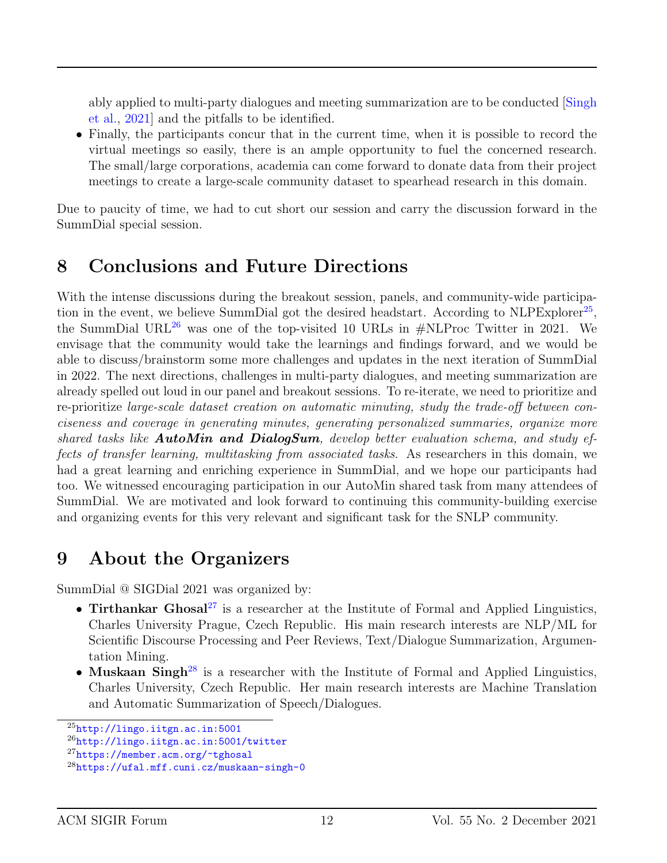ably applied to multi-party dialogues and meeting summarization are to be conducted [\[Singh](#page-15-8) [et al.,](#page-15-8) [2021\]](#page-15-8) and the pitfalls to be identified.

• Finally, the participants concur that in the current time, when it is possible to record the virtual meetings so easily, there is an ample opportunity to fuel the concerned research. The small/large corporations, academia can come forward to donate data from their project meetings to create a large-scale community dataset to spearhead research in this domain.

Due to paucity of time, we had to cut short our session and carry the discussion forward in the SummDial special session.

## 8 Conclusions and Future Directions

With the intense discussions during the breakout session, panels, and community-wide participa-tion in the event, we believe SummDial got the desired headstart. According to NLPExplorer<sup>[25](#page-11-0)</sup>, the SummDial URL<sup>[26](#page-11-1)</sup> was one of the top-visited 10 URLs in  $\#$ NLProc Twitter in 2021. We envisage that the community would take the learnings and findings forward, and we would be able to discuss/brainstorm some more challenges and updates in the next iteration of SummDial in 2022. The next directions, challenges in multi-party dialogues, and meeting summarization are already spelled out loud in our panel and breakout sessions. To re-iterate, we need to prioritize and re-prioritize large-scale dataset creation on automatic minuting, study the trade-off between conciseness and coverage in generating minutes, generating personalized summaries, organize more shared tasks like **AutoMin and DialogSum**, develop better evaluation schema, and study effects of transfer learning, multitasking from associated tasks. As researchers in this domain, we had a great learning and enriching experience in SummDial, and we hope our participants had too. We witnessed encouraging participation in our AutoMin shared task from many attendees of SummDial. We are motivated and look forward to continuing this community-building exercise and organizing events for this very relevant and significant task for the SNLP community.

### 9 About the Organizers

SummDial @ SIGDial 2021 was organized by:

- Tirthankar Ghosal<sup>[27](#page-11-2)</sup> is a researcher at the Institute of Formal and Applied Linguistics, Charles University Prague, Czech Republic. His main research interests are NLP/ML for Scientific Discourse Processing and Peer Reviews, Text/Dialogue Summarization, Argumentation Mining.
- Muskaan Singh<sup>[28](#page-11-3)</sup> is a researcher with the Institute of Formal and Applied Linguistics, Charles University, Czech Republic. Her main research interests are Machine Translation and Automatic Summarization of Speech/Dialogues.

<span id="page-11-0"></span> $^{25}$ <http://lingo.iitgn.ac.in:5001>

<span id="page-11-1"></span><sup>26</sup>[http://lingo.iitgn.ac.in:5001/twitter](http://lingo.iitgn.ac.in:5001/twitter )

<span id="page-11-2"></span><sup>27</sup><https://member.acm.org/~tghosal>

<span id="page-11-3"></span><sup>28</sup><https://ufal.mff.cuni.cz/muskaan-singh-0>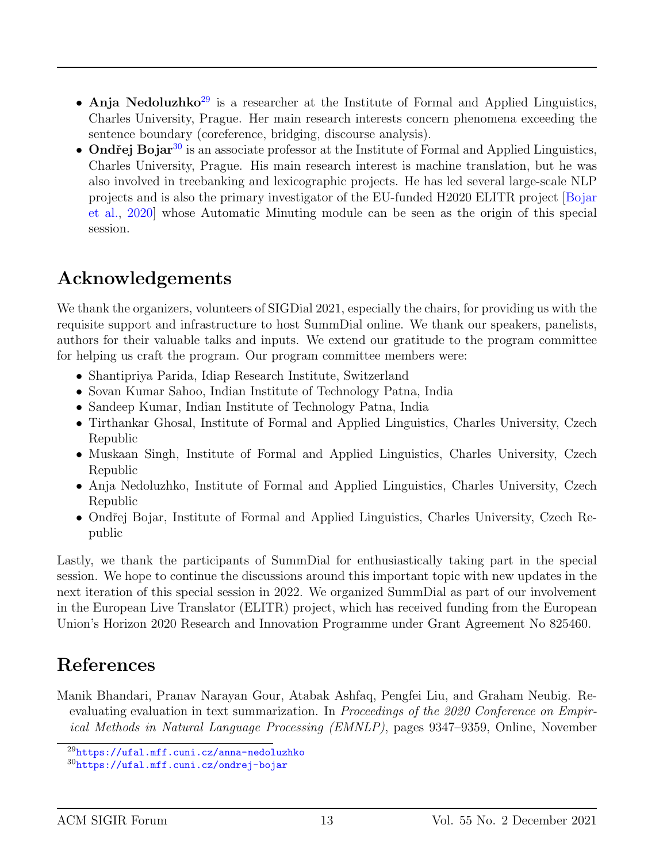- Anja Nedoluzhko<sup>[29](#page-12-1)</sup> is a researcher at the Institute of Formal and Applied Linguistics, Charles University, Prague. Her main research interests concern phenomena exceeding the sentence boundary (coreference, bridging, discourse analysis).
- Ondřej Bojar<sup>[30](#page-12-2)</sup> is an associate professor at the Institute of Formal and Applied Linguistics, Charles University, Prague. His main research interest is machine translation, but he was also involved in treebanking and lexicographic projects. He has led several large-scale NLP projects and is also the primary investigator of the EU-funded H2020 ELITR project [\[Bojar](#page-13-5) [et al.,](#page-13-5) [2020\]](#page-13-5) whose Automatic Minuting module can be seen as the origin of this special session.

## Acknowledgements

We thank the organizers, volunteers of SIGDial 2021, especially the chairs, for providing us with the requisite support and infrastructure to host SummDial online. We thank our speakers, panelists, authors for their valuable talks and inputs. We extend our gratitude to the program committee for helping us craft the program. Our program committee members were:

- Shantipriya Parida, Idiap Research Institute, Switzerland
- Sovan Kumar Sahoo, Indian Institute of Technology Patna, India
- Sandeep Kumar, Indian Institute of Technology Patna, India
- Tirthankar Ghosal, Institute of Formal and Applied Linguistics, Charles University, Czech Republic
- Muskaan Singh, Institute of Formal and Applied Linguistics, Charles University, Czech Republic
- Anja Nedoluzhko, Institute of Formal and Applied Linguistics, Charles University, Czech Republic
- Ondřej Bojar, Institute of Formal and Applied Linguistics, Charles University, Czech Republic

Lastly, we thank the participants of SummDial for enthusiastically taking part in the special session. We hope to continue the discussions around this important topic with new updates in the next iteration of this special session in 2022. We organized SummDial as part of our involvement in the European Live Translator (ELITR) project, which has received funding from the European Union's Horizon 2020 Research and Innovation Programme under Grant Agreement No 825460.

## References

<span id="page-12-0"></span>Manik Bhandari, Pranav Narayan Gour, Atabak Ashfaq, Pengfei Liu, and Graham Neubig. Reevaluating evaluation in text summarization. In Proceedings of the 2020 Conference on Empirical Methods in Natural Language Processing (EMNLP), pages 9347–9359, Online, November

<span id="page-12-1"></span><sup>29</sup><https://ufal.mff.cuni.cz/anna-nedoluzhko>

<span id="page-12-2"></span><sup>30</sup><https://ufal.mff.cuni.cz/ondrej-bojar>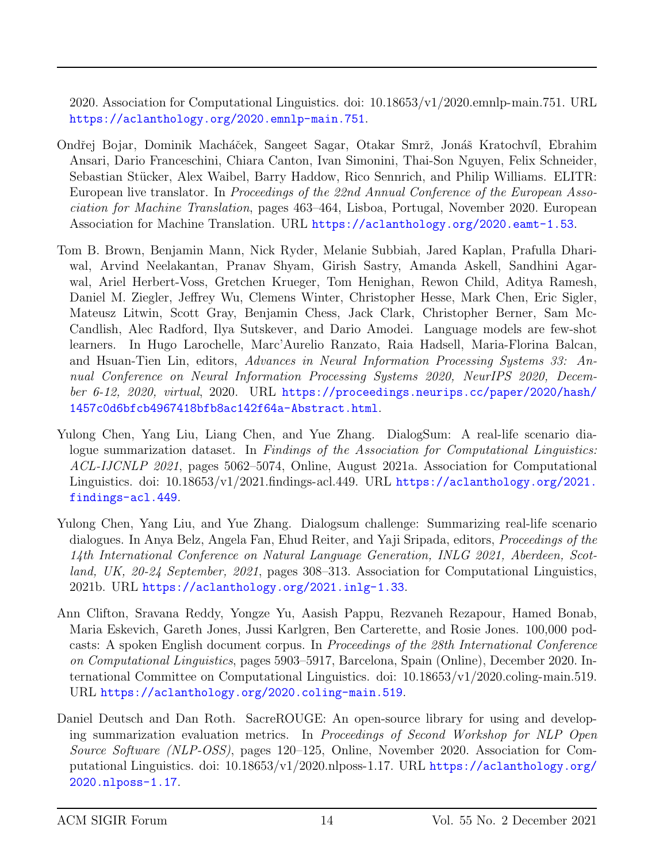2020. Association for Computational Linguistics. doi: 10.18653/v1/2020.emnlp-main.751. URL <https://aclanthology.org/2020.emnlp-main.751>.

- <span id="page-13-5"></span>Ondřej Bojar, Dominik Macháček, Sangeet Sagar, Otakar Smrž, Jonáš Kratochvíl, Ebrahim Ansari, Dario Franceschini, Chiara Canton, Ivan Simonini, Thai-Son Nguyen, Felix Schneider, Sebastian Stücker, Alex Waibel, Barry Haddow, Rico Sennrich, and Philip Williams. ELITR: European live translator. In Proceedings of the 22nd Annual Conference of the European Association for Machine Translation, pages 463–464, Lisboa, Portugal, November 2020. European Association for Machine Translation. URL <https://aclanthology.org/2020.eamt-1.53>.
- <span id="page-13-0"></span>Tom B. Brown, Benjamin Mann, Nick Ryder, Melanie Subbiah, Jared Kaplan, Prafulla Dhariwal, Arvind Neelakantan, Pranav Shyam, Girish Sastry, Amanda Askell, Sandhini Agarwal, Ariel Herbert-Voss, Gretchen Krueger, Tom Henighan, Rewon Child, Aditya Ramesh, Daniel M. Ziegler, Jeffrey Wu, Clemens Winter, Christopher Hesse, Mark Chen, Eric Sigler, Mateusz Litwin, Scott Gray, Benjamin Chess, Jack Clark, Christopher Berner, Sam Mc-Candlish, Alec Radford, Ilya Sutskever, and Dario Amodei. Language models are few-shot learners. In Hugo Larochelle, Marc'Aurelio Ranzato, Raia Hadsell, Maria-Florina Balcan, and Hsuan-Tien Lin, editors, Advances in Neural Information Processing Systems 33: Annual Conference on Neural Information Processing Systems 2020, NeurIPS 2020, December 6-12, 2020, virtual, 2020. URL [https://proceedings.neurips.cc/paper/2020/hash/](https://proceedings.neurips.cc/paper/2020/hash/1457c0d6bfcb4967418bfb8ac142f64a-Abstract.html) [1457c0d6bfcb4967418bfb8ac142f64a-Abstract.html](https://proceedings.neurips.cc/paper/2020/hash/1457c0d6bfcb4967418bfb8ac142f64a-Abstract.html).
- <span id="page-13-2"></span>Yulong Chen, Yang Liu, Liang Chen, and Yue Zhang. DialogSum: A real-life scenario dialogue summarization dataset. In Findings of the Association for Computational Linguistics: ACL-IJCNLP 2021, pages 5062–5074, Online, August 2021a. Association for Computational Linguistics. doi:  $10.18653/v1/2021$ .findings-acl.449. URL [https://aclanthology.org/2021.](https://aclanthology.org/2021.findings-acl.449) [findings-acl.449](https://aclanthology.org/2021.findings-acl.449).
- <span id="page-13-4"></span>Yulong Chen, Yang Liu, and Yue Zhang. Dialogsum challenge: Summarizing real-life scenario dialogues. In Anya Belz, Angela Fan, Ehud Reiter, and Yaji Sripada, editors, Proceedings of the 14th International Conference on Natural Language Generation, INLG 2021, Aberdeen, Scotland, UK, 20-24 September, 2021, pages 308–313. Association for Computational Linguistics, 2021b. URL <https://aclanthology.org/2021.inlg-1.33>.
- <span id="page-13-3"></span>Ann Clifton, Sravana Reddy, Yongze Yu, Aasish Pappu, Rezvaneh Rezapour, Hamed Bonab, Maria Eskevich, Gareth Jones, Jussi Karlgren, Ben Carterette, and Rosie Jones. 100,000 podcasts: A spoken English document corpus. In Proceedings of the 28th International Conference on Computational Linguistics, pages 5903–5917, Barcelona, Spain (Online), December 2020. International Committee on Computational Linguistics. doi: 10.18653/v1/2020.coling-main.519. URL <https://aclanthology.org/2020.coling-main.519>.
- <span id="page-13-1"></span>Daniel Deutsch and Dan Roth. SacreROUGE: An open-source library for using and developing summarization evaluation metrics. In Proceedings of Second Workshop for NLP Open Source Software (NLP-OSS), pages 120–125, Online, November 2020. Association for Computational Linguistics. doi: 10.18653/v1/2020.nlposs-1.17. URL [https://aclanthology.org/](https://aclanthology.org/2020.nlposs-1.17) [2020.nlposs-1.17](https://aclanthology.org/2020.nlposs-1.17).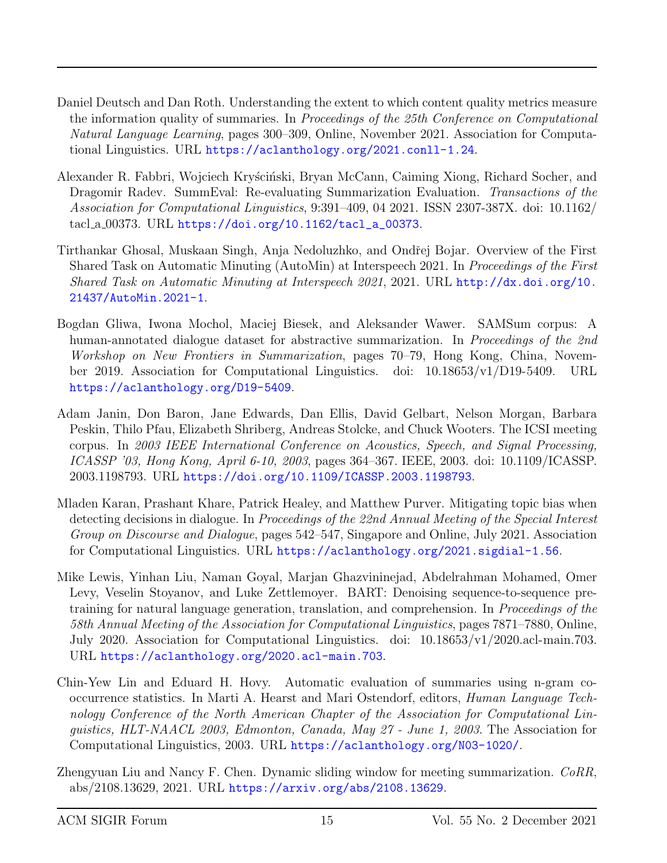- <span id="page-14-0"></span>Daniel Deutsch and Dan Roth. Understanding the extent to which content quality metrics measure the information quality of summaries. In Proceedings of the 25th Conference on Computational Natural Language Learning, pages 300–309, Online, November 2021. Association for Computational Linguistics. URL <https://aclanthology.org/2021.conll-1.24>.
- <span id="page-14-6"></span>Alexander R. Fabbri, Wojciech Kryściński, Bryan McCann, Caiming Xiong, Richard Socher, and Dragomir Radev. SummEval: Re-evaluating Summarization Evaluation. Transactions of the Association for Computational Linguistics, 9:391–409, 04 2021. ISSN 2307-387X. doi: 10.1162/ tacl a 00373. URL [https://doi.org/10.1162/tacl\\_a\\_00373](https://doi.org/10.1162/tacl_a_00373).
- <span id="page-14-2"></span>Tirthankar Ghosal, Muskaan Singh, Anja Nedoluzhko, and Ondřej Bojar. Overview of the First Shared Task on Automatic Minuting (AutoMin) at Interspeech 2021. In Proceedings of the First Shared Task on Automatic Minuting at Interspeech 2021, 2021. URL [http://dx.doi.org/10.](http://dx.doi.org/10.21437/AutoMin.2021-1) [21437/AutoMin.2021-1](http://dx.doi.org/10.21437/AutoMin.2021-1).
- <span id="page-14-7"></span>Bogdan Gliwa, Iwona Mochol, Maciej Biesek, and Aleksander Wawer. SAMSum corpus: A human-annotated dialogue dataset for abstractive summarization. In Proceedings of the 2nd Workshop on New Frontiers in Summarization, pages 70–79, Hong Kong, China, November 2019. Association for Computational Linguistics. doi: 10.18653/v1/D19-5409. URL <https://aclanthology.org/D19-5409>.
- <span id="page-14-8"></span>Adam Janin, Don Baron, Jane Edwards, Dan Ellis, David Gelbart, Nelson Morgan, Barbara Peskin, Thilo Pfau, Elizabeth Shriberg, Andreas Stolcke, and Chuck Wooters. The ICSI meeting corpus. In 2003 IEEE International Conference on Acoustics, Speech, and Signal Processing, ICASSP '03, Hong Kong, April 6-10, 2003, pages 364–367. IEEE, 2003. doi: 10.1109/ICASSP. 2003.1198793. URL <https://doi.org/10.1109/ICASSP.2003.1198793>.
- <span id="page-14-3"></span>Mladen Karan, Prashant Khare, Patrick Healey, and Matthew Purver. Mitigating topic bias when detecting decisions in dialogue. In Proceedings of the 22nd Annual Meeting of the Special Interest Group on Discourse and Dialogue, pages 542–547, Singapore and Online, July 2021. Association for Computational Linguistics. URL <https://aclanthology.org/2021.sigdial-1.56>.
- <span id="page-14-5"></span>Mike Lewis, Yinhan Liu, Naman Goyal, Marjan Ghazvininejad, Abdelrahman Mohamed, Omer Levy, Veselin Stoyanov, and Luke Zettlemoyer. BART: Denoising sequence-to-sequence pretraining for natural language generation, translation, and comprehension. In Proceedings of the 58th Annual Meeting of the Association for Computational Linguistics, pages 7871–7880, Online, July 2020. Association for Computational Linguistics. doi: 10.18653/v1/2020.acl-main.703. URL <https://aclanthology.org/2020.acl-main.703>.
- <span id="page-14-1"></span>Chin-Yew Lin and Eduard H. Hovy. Automatic evaluation of summaries using n-gram cooccurrence statistics. In Marti A. Hearst and Mari Ostendorf, editors, Human Language Technology Conference of the North American Chapter of the Association for Computational Linguistics, HLT-NAACL 2003, Edmonton, Canada, May 27 - June 1, 2003. The Association for Computational Linguistics, 2003. URL <https://aclanthology.org/N03-1020/>.
- <span id="page-14-4"></span>Zhengyuan Liu and Nancy F. Chen. Dynamic sliding window for meeting summarization. CoRR, abs/2108.13629, 2021. URL <https://arxiv.org/abs/2108.13629>.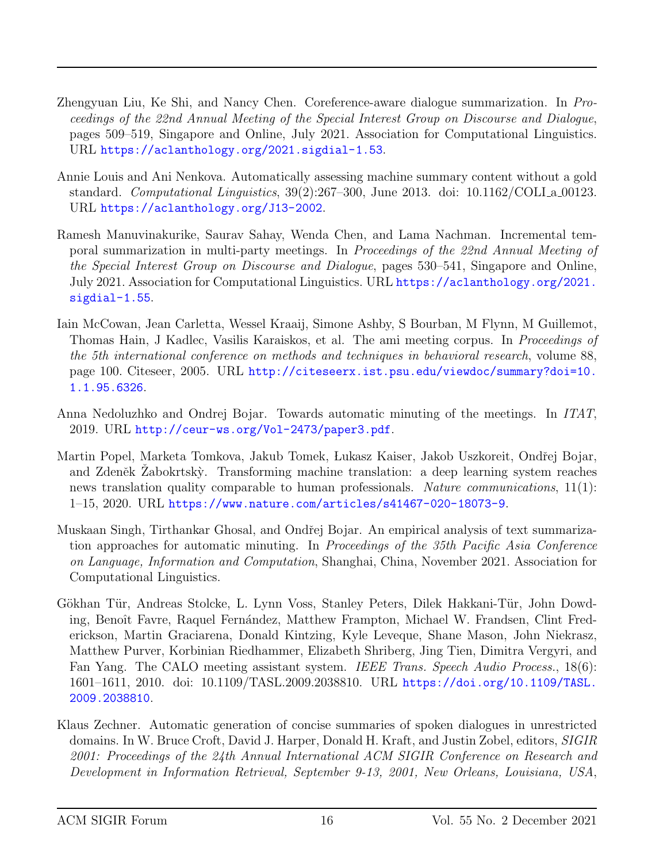- <span id="page-15-4"></span>Zhengyuan Liu, Ke Shi, and Nancy Chen. Coreference-aware dialogue summarization. In Proceedings of the 22nd Annual Meeting of the Special Interest Group on Discourse and Dialogue, pages 509–519, Singapore and Online, July 2021. Association for Computational Linguistics. URL <https://aclanthology.org/2021.sigdial-1.53>.
- <span id="page-15-3"></span>Annie Louis and Ani Nenkova. Automatically assessing machine summary content without a gold standard. *Computational Linguistics*,  $39(2):267-300$ , June 2013. doi:  $10.1162/COLI$  a 00123. URL <https://aclanthology.org/J13-2002>.
- <span id="page-15-5"></span>Ramesh Manuvinakurike, Saurav Sahay, Wenda Chen, and Lama Nachman. Incremental temporal summarization in multi-party meetings. In Proceedings of the 22nd Annual Meeting of the Special Interest Group on Discourse and Dialogue, pages 530–541, Singapore and Online, July 2021. Association for Computational Linguistics. URL [https://aclanthology.org/2021.](https://aclanthology.org/2021.sigdial-1.55) [sigdial-1.55](https://aclanthology.org/2021.sigdial-1.55).
- <span id="page-15-6"></span>Iain McCowan, Jean Carletta, Wessel Kraaij, Simone Ashby, S Bourban, M Flynn, M Guillemot, Thomas Hain, J Kadlec, Vasilis Karaiskos, et al. The ami meeting corpus. In Proceedings of the 5th international conference on methods and techniques in behavioral research, volume 88, page 100. Citeseer, 2005. URL [http://citeseerx.ist.psu.edu/viewdoc/summary?doi=10.](http://citeseerx.ist.psu.edu/viewdoc/summary?doi=10.1.1.95.6326) [1.1.95.6326](http://citeseerx.ist.psu.edu/viewdoc/summary?doi=10.1.1.95.6326).
- <span id="page-15-0"></span>Anna Nedoluzhko and Ondrej Bojar. Towards automatic minuting of the meetings. In ITAT, 2019. URL <http://ceur-ws.org/Vol-2473/paper3.pdf>.
- <span id="page-15-2"></span>Martin Popel, Marketa Tomkova, Jakub Tomek, Lukasz Kaiser, Jakob Uszkoreit, Ondřej Bojar, and Zdeněk Zabokrtský. Transforming machine translation: a deep learning system reaches news translation quality comparable to human professionals. Nature communications, 11(1): 1–15, 2020. URL <https://www.nature.com/articles/s41467-020-18073-9>.
- <span id="page-15-8"></span>Muskaan Singh, Tirthankar Ghosal, and Ondřej Bojar. An empirical analysis of text summarization approaches for automatic minuting. In Proceedings of the 35th Pacific Asia Conference on Language, Information and Computation, Shanghai, China, November 2021. Association for Computational Linguistics.
- <span id="page-15-7"></span>Gökhan Tür, Andreas Stolcke, L. Lynn Voss, Stanley Peters, Dilek Hakkani-Tür, John Dowding, Benoît Favre, Raquel Fernández, Matthew Frampton, Michael W. Frandsen, Clint Frederickson, Martin Graciarena, Donald Kintzing, Kyle Leveque, Shane Mason, John Niekrasz, Matthew Purver, Korbinian Riedhammer, Elizabeth Shriberg, Jing Tien, Dimitra Vergyri, and Fan Yang. The CALO meeting assistant system. IEEE Trans. Speech Audio Process., 18(6): 1601–1611, 2010. doi: 10.1109/TASL.2009.2038810. URL [https://doi.org/10.1109/TASL.](https://doi.org/10.1109/TASL.2009.2038810) [2009.2038810](https://doi.org/10.1109/TASL.2009.2038810).
- <span id="page-15-1"></span>Klaus Zechner. Automatic generation of concise summaries of spoken dialogues in unrestricted domains. In W. Bruce Croft, David J. Harper, Donald H. Kraft, and Justin Zobel, editors, SIGIR 2001: Proceedings of the 24th Annual International ACM SIGIR Conference on Research and Development in Information Retrieval, September 9-13, 2001, New Orleans, Louisiana, USA,